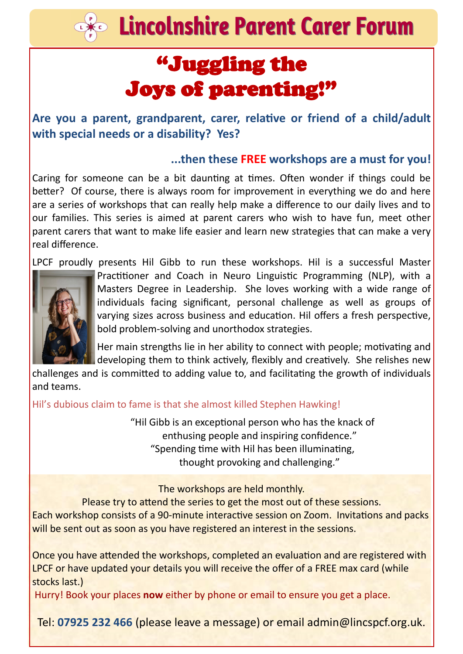$\approx$  Lincolnshire Parent Carer Forum

## "Juggling the Joys of parenting!"

**Are you a parent, grandparent, carer, relative or friend of a child/adult with special needs or a disability? Yes?** 

#### **...then these FREE workshops are a must for you!**

Caring for someone can be a bit daunting at times. Often wonder if things could be better? Of course, there is always room for improvement in everything we do and here are a series of workshops that can really help make a difference to our daily lives and to our families. This series is aimed at parent carers who wish to have fun, meet other parent carers that want to make life easier and learn new strategies that can make a very real difference.

LPCF proudly presents Hil Gibb to run these workshops. Hil is a successful Master



L

Practitioner and Coach in Neuro Linguistic Programming (NLP), with a Masters Degree in Leadership. She loves working with a wide range of individuals facing significant, personal challenge as well as groups of varying sizes across business and education. Hil offers a fresh perspective, bold problem-solving and unorthodox strategies.

Her main strengths lie in her ability to connect with people; motivating and developing them to think actively, flexibly and creatively. She relishes new

challenges and is committed to adding value to, and facilitating the growth of individuals and teams.

Hil's dubious claim to fame is that she almost killed Stephen Hawking!

"Hil Gibb is an exceptional person who has the knack of enthusing people and inspiring confidence." "Spending time with Hil has been illuminating, thought provoking and challenging."

The workshops are held monthly.

Please try to attend the series to get the most out of these sessions.

Each workshop consists of a 90-minute interactive session on Zoom. Invitations and packs will be sent out as soon as you have registered an interest in the sessions.

Once you have attended the workshops, completed an evaluation and are registered with LPCF or have updated your details you will receive the offer of a FREE max card (while stocks last.)

Hurry! Book your places **now** either by phone or email to ensure you get a place.

Tel: **07925 232 466** (please leave a message) or email admin@lincspcf.org.uk.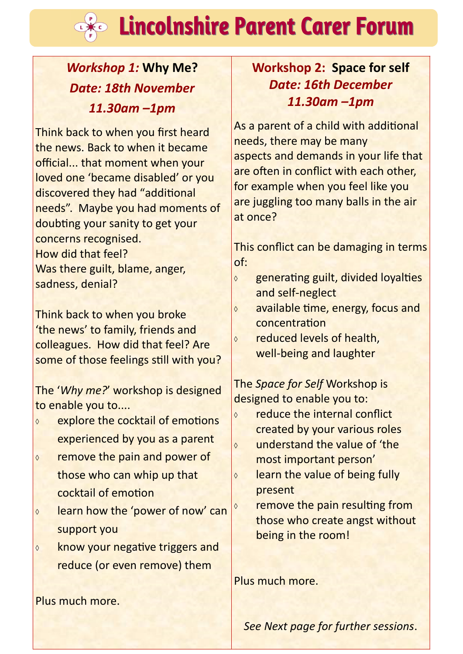# **Lincolnshire Parent Carer Forum**

### *Workshop 1:* **Why Me?** *Date: 18th November 11.30am –1pm*

L

Think back to when you first heard the news. Back to when it became official... that moment when your loved one 'became disabled' or you discovered they had "additional needs". Maybe you had moments of doubting your sanity to get your concerns recognised. How did that feel? Was there guilt, blame, anger, sadness, denial?

Think back to when you broke 'the news' to family, friends and colleagues. How did that feel? Are some of those feelings still with you?

The '*Why me?*' workshop is designed to enable you to....

- **EXPLORE THE COCKTRAIL OF EMOTIONS** experienced by you as a parent
- **o** remove the pain and power of those who can whip up that cocktail of emotion
- $\circ$  learn how the 'power of now' can support you
- **know your negative triggers and** reduce (or even remove) them

Plus much more.

### **Workshop 2: Space for self** *Date: 16th December 11.30am –1pm*

As a parent of a child with additional needs, there may be many aspects and demands in your life that are often in conflict with each other, for example when you feel like you are juggling too many balls in the air at once?

This conflict can be damaging in terms of:

- $\Diamond$  generating guilt, divided loyalties and self-neglect
- **available time, energy, focus and** concentration
- $\circ$  reduced levels of health. well-being and laughter

The *Space for Self* Workshop is designed to enable you to:

- **o** reduce the internal conflict created by your various roles understand the value of 'the most important person'  $\circ$  learn the value of being fully
	- present
	- remove the pain resulting from those who create angst without being in the room!

Plus much more.

*See Next page for further sessions*.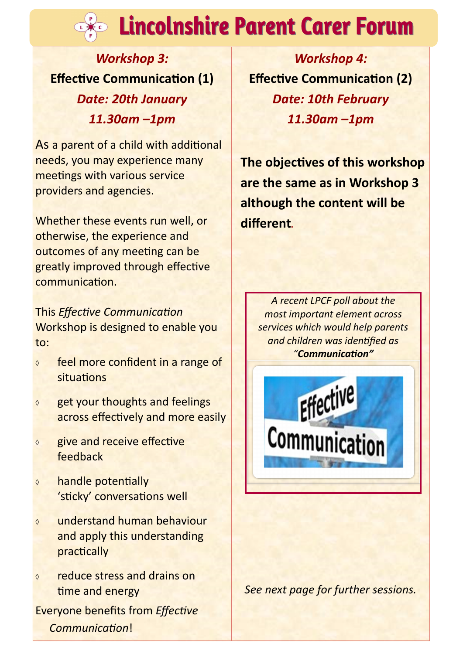# **Exage Lincolnshire Parent Carer Forum**

*Workshop 3:*  **Effective Communication (1)** *Date: 20th January 11.30am –1pm*

As a parent of a child with additional needs, you may experience many meetings with various service providers and agencies.

Whether these events run well, or otherwise, the experience and outcomes of any meeting can be greatly improved through effective communication.

This *Effective Communication*  Workshop is designed to enable you to:

- $\circ$  feel more confident in a range of situations
- $\Diamond$  get your thoughts and feelings across effectively and more easily
- $\Diamond$  give and receive effective feedback
- handle potentially 'sticky' conversations well
- understand human behaviour and apply this understanding practically
- reduce stress and drains on time and energy

Everyone benefits from *Effective Communication*!

*Workshop 4:*  **Effective Communication (2)** *Date: 10th February 11.30am –1pm*

**The objectives of this workshop are the same as in Workshop 3 although the content will be different.**

*A recent LPCF poll about the most important element across services which would help parents and children was identified as "Communication"*



*See next page for further sessions.*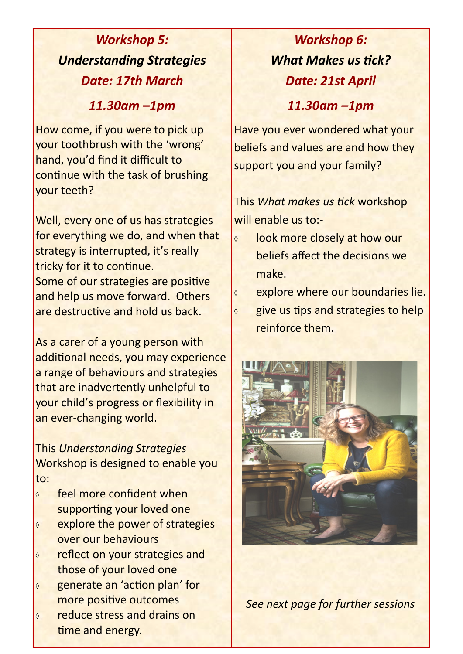### *Workshop 5: Understanding Strategies Date: 17th March*

*11.30am –1pm*

How come, if you were to pick up your toothbrush with the 'wrong' hand, you'd find it difficult to continue with the task of brushing your teeth?

Well, every one of us has strategies for everything we do, and when that strategy is interrupted, it's really tricky for it to continue. Some of our strategies are positive and help us move forward. Others are destructive and hold us back.

As a carer of a young person with additional needs, you may experience a range of behaviours and strategies that are inadvertently unhelpful to your child's progress or flexibility in an ever-changing world.

This *Understanding Strategies* Workshop is designed to enable you to:

- **↓** feel more confident when supporting your loved one
- **EXPLORE THE POWER OF STRATE ST** over our behaviours
- reflect on your strategies and those of your loved one
- generate an 'action plan' for more positive outcomes
- **o** reduce stress and drains on time and energy.

## *Workshop 6: What Makes us tick? Date: 21st April*

*11.30am –1pm*

Have you ever wondered what your beliefs and values are and how they support you and your family?

This *What makes us tick* workshop will enable us to:-

- **b** look more closely at how our beliefs affect the decisions we make.
- $\circ$  explore where our boundaries lie.
- $\circ$  give us tips and strategies to help reinforce them.



*See next page for further sessions*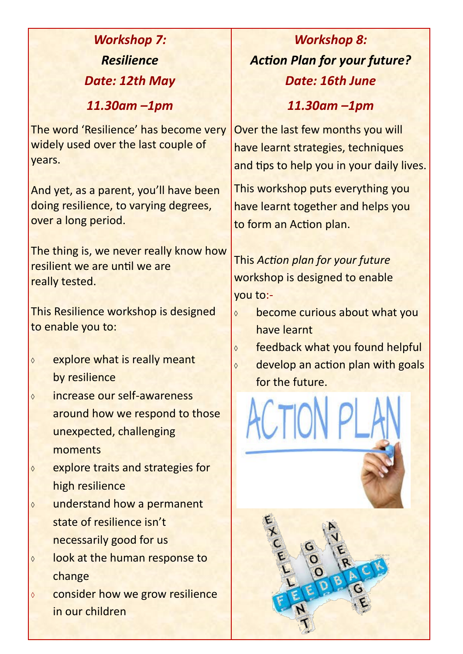| <b>Workshop 7:</b>                                                                                                                                                                                                   | <b>Workshop 8:</b>                                                                                                   |
|----------------------------------------------------------------------------------------------------------------------------------------------------------------------------------------------------------------------|----------------------------------------------------------------------------------------------------------------------|
| <b>Resilience</b>                                                                                                                                                                                                    | <b>Action Plan for your future?</b>                                                                                  |
| Date: 12th May                                                                                                                                                                                                       | Date: 16th June                                                                                                      |
| $11.30$ am $-1$ pm                                                                                                                                                                                                   | $11.30$ am $-1$ pm                                                                                                   |
| The word 'Resilience' has become very<br>widely used over the last couple of<br>years.                                                                                                                               | Over the last few months you will<br>have learnt strategies, techniques<br>and tips to help you in your daily lives. |
| And yet, as a parent, you'll have been<br>doing resilience, to varying degrees,<br>over a long period.                                                                                                               | This workshop puts everything you<br>have learnt together and helps you<br>to form an Action plan.                   |
| The thing is, we never really know how<br>resilient we are until we are<br>really tested.                                                                                                                            | This Action plan for your future<br>workshop is designed to enable<br>you to:-                                       |
| This Resilience workshop is designed<br>to enable you to:                                                                                                                                                            | become curious about what you<br>$\Diamond$<br>have learnt                                                           |
| explore what is really meant<br>$\Diamond$<br>by resilience                                                                                                                                                          | feedback what you found helpful<br>$\Diamond$<br>develop an action plan with goals<br>$\Diamond$<br>for the future.  |
| increase our self-awareness<br>$\Diamond$<br>around how we respond to those<br>unexpected, challenging<br>moments<br>explore traits and strategies for<br>$\Diamond$<br>high resilience                              |                                                                                                                      |
| understand how a permanent<br>$\Diamond$<br>state of resilience isn't<br>necessarily good for us<br>look at the human response to<br>$\Diamond$<br>change<br>consider how we grow resilience<br>♦<br>in our children |                                                                                                                      |